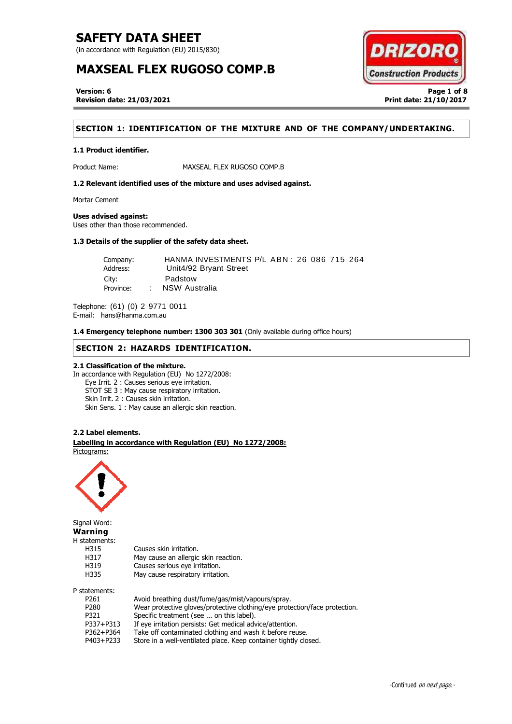(in accordance with Regulation (EU) 2015/830)

# **MAXSEAL FLEX RUGOSO COMP.B**



**Version: 6 Page 1 of 8 Revision date: 21/03/2021 Print date: 21/10/2017**

# **SECTION 1: IDENTIFICATION OF THE MIXTURE AND OF THE COMPANY/UNDERTAKING.**

### **1.1 Product identifier.**

Product Name: MAXSEAL FLEX RUGOSO COMP.B

**1.2 Relevant identified uses of the mixture and uses advised against.**

Mortar Cement

#### **Uses advised against:**

Uses other than those recommended.

# **1.3 Details of the supplier of the safety data sheet.**

Company: HANMA INVESTMENTS P/L ABN: 26 086 715 264<br>Address: Unit4/92 Bryant Street Unit4/92 Bryant Street City: Padstow Province: : NSW Australia

Telephone: (61) (0) 2 9771 0011 E-mail: hans@hanma.com.au

**1.4 Emergency telephone number: 1300 303 301** (Only available during office hours)

# **SECTION 2: HAZARDS IDENTIFICATION.**

## **2.1 Classification of the mixture.**

In accordance with Regulation (EU) No 1272/2008: Eye Irrit. 2 : Causes serious eye irritation. STOT SE 3 : May cause respiratory irritation. Skin Irrit. 2 : Causes skin irritation. Skin Sens. 1 : May cause an allergic skin reaction.

### **2.2 Label elements.**

. **Labelling in accordance with Regulation (EU) No 1272/2008:** Pictograms:



Signal Word: **Warning** H statements:

| H315             | Causes skin irritation.                                                    |
|------------------|----------------------------------------------------------------------------|
| H317             | May cause an allergic skin reaction.                                       |
| H319             | Causes serious eye irritation.                                             |
| H335             | May cause respiratory irritation.                                          |
| P statements:    |                                                                            |
| P <sub>261</sub> | Avoid breathing dust/fume/gas/mist/vapours/spray.                          |
| P <sub>280</sub> | Wear protective gloves/protective clothing/eye protection/face protection. |

P321 Specific treatment (see ... on this label).

- P337+P313 If eye irritation persists: Get medical advice/attention.
- P362+P364 Take off contaminated clothing and wash it before reuse.
- P403+P233 Store in a well-ventilated place. Keep container tightly closed.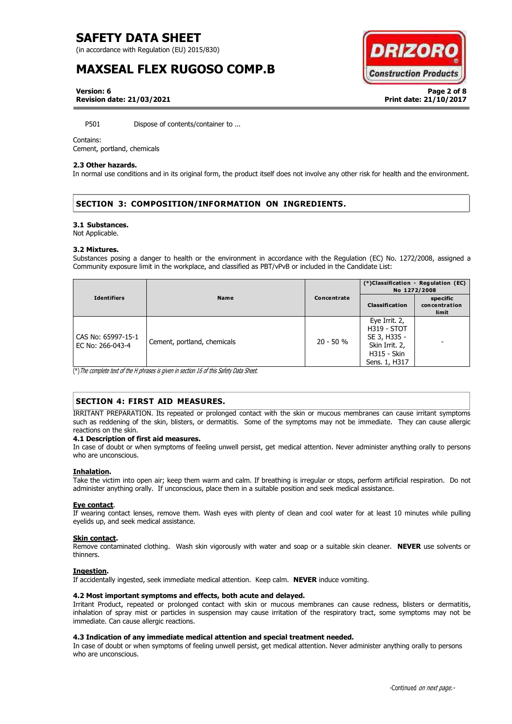(in accordance with Regulation (EU) 2015/830)

# **MAXSEAL FLEX RUGOSO COMP.B**



**Version: 6 Page 2 of 8 Revision date: 21/03/2021 Print date: 21/10/2017**

P501 Dispose of contents/container to ...

### Contains:

Cement, portland, chemicals

### **2.3 Other hazards.**

In normal use conditions and in its original form, the product itself does not involve any other risk for health and the environment.

# **SECTION 3: COMPOSITION/INFORMATION ON INGREDIENTS.**

### **3.1 Substances.**

Not Applicable.

### **3.2 Mixtures.**

Substances posing a danger to health or the environment in accordance with the Regulation (EC) No. 1272/2008, assigned a Community exposure limit in the workplace, and classified as PBT/vPvB or included in the Candidate List:

| <b>Identifiers</b>                     | Name                        | Concentrate | (*)Classification - Regulation (EC)<br>No 1272/2008                                                   |                                    |
|----------------------------------------|-----------------------------|-------------|-------------------------------------------------------------------------------------------------------|------------------------------------|
|                                        |                             |             | Classification                                                                                        | specific<br>concentration<br>limit |
| CAS No: 65997-15-1<br>EC No: 266-043-4 | Cement, portland, chemicals | $20 - 50 %$ | Eye Irrit. 2,<br><b>H319 - STOT</b><br>SE 3, H335 -<br>Skin Irrit. 2,<br>H315 - Skin<br>Sens. 1, H317 |                                    |

(\*)The complete text of the H phrases is given in section 16 of this Safety Data Sheet.

# **SECTION 4: FIRST AID MEASURES.**

IRRITANT PREPARATION. Its repeated or prolonged contact with the skin or mucous membranes can cause irritant symptoms such as reddening of the skin, blisters, or dermatitis. Some of the symptoms may not be immediate. They can cause allergic reactions on the skin.

## **4.1 Description of first aid measures.**

In case of doubt or when symptoms of feeling unwell persist, get medical attention. Never administer anything orally to persons who are unconscious.

## **Inhalation.**

Take the victim into open air; keep them warm and calm. If breathing is irregular or stops, perform artificial respiration. Do not administer anything orally. If unconscious, place them in a suitable position and seek medical assistance.

### **Eye contact**.

If wearing contact lenses, remove them. Wash eyes with plenty of clean and cool water for at least 10 minutes while pulling eyelids up, and seek medical assistance.

## **Skin contact.**

Remove contaminated clothing. Wash skin vigorously with water and soap or a suitable skin cleaner. **NEVER** use solvents or thinners.

## **Ingestion.**

If accidentally ingested, seek immediate medical attention. Keep calm. **NEVER** induce vomiting.

## **4.2 Most important symptoms and effects, both acute and delayed.**

Irritant Product, repeated or prolonged contact with skin or mucous membranes can cause redness, blisters or dermatitis, inhalation of spray mist or particles in suspension may cause irritation of the respiratory tract, some symptoms may not be immediate. Can cause allergic reactions.

### **4.3 Indication of any immediate medical attention and special treatment needed.**

In case of doubt or when symptoms of feeling unwell persist, get medical attention. Never administer anything orally to persons who are unconscious.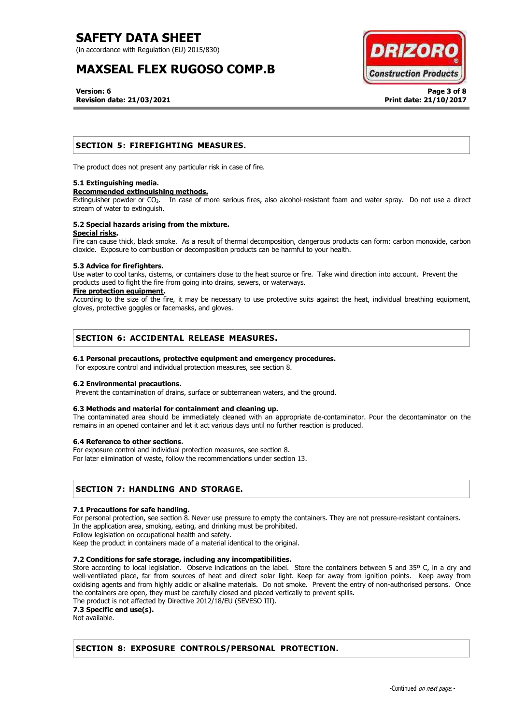(in accordance with Regulation (EU) 2015/830)

# **MAXSEAL FLEX RUGOSO COMP.B**



**Version: 6 Page 3 of 8 Revision date: 21/03/2021 Print date: 21/10/2017**

# **SECTION 5: FIREFIGHTING MEASURES.**

The product does not present any particular risk in case of fire.

### **5.1 Extinguishing media.**

### **Recommended extinguishing methods.**

Extinguisher powder or CO2. In case of more serious fires, also alcohol-resistant foam and water spray. Do not use a direct stream of water to extinguish.

### **5.2 Special hazards arising from the mixture. Special risks.**

Fire can cause thick, black smoke. As a result of thermal decomposition, dangerous products can form: carbon monoxide, carbon dioxide. Exposure to combustion or decomposition products can be harmful to your health.

### **5.3 Advice for firefighters.**

Use water to cool tanks, cisterns, or containers close to the heat source or fire. Take wind direction into account. Prevent the products used to fight the fire from going into drains, sewers, or waterways.

### **Fire protection equipment.**

According to the size of the fire, it may be necessary to use protective suits against the heat, individual breathing equipment, gloves, protective goggles or facemasks, and gloves.

# **SECTION 6: ACCIDENTAL RELEASE MEASURES.**

### **6.1 Personal precautions, protective equipment and emergency procedures.**

For exposure control and individual protection measures, see section 8.

### **6.2 Environmental precautions.**

Prevent the contamination of drains, surface or subterranean waters, and the ground.

### **6.3 Methods and material for containment and cleaning up.**

The contaminated area should be immediately cleaned with an appropriate de-contaminator. Pour the decontaminator on the remains in an opened container and let it act various days until no further reaction is produced.

### **6.4 Reference to other sections.**

For exposure control and individual protection measures, see section 8.

For later elimination of waste, follow the recommendations under section 13.

## **SECTION 7: HANDLING AND STORAGE.**

### **7.1 Precautions for safe handling.**

For personal protection, see section 8. Never use pressure to empty the containers. They are not pressure-resistant containers. In the application area, smoking, eating, and drinking must be prohibited.

Follow legislation on occupational health and safety.

Keep the product in containers made of a material identical to the original.

## **7.2 Conditions for safe storage, including any incompatibilities.**

Store according to local legislation. Observe indications on the label. Store the containers between 5 and 35° C, in a dry and well-ventilated place, far from sources of heat and direct solar light. Keep far away from ignition points. Keep away from oxidising agents and from highly acidic or alkaline materials. Do not smoke. Prevent the entry of non-authorised persons. Once the containers are open, they must be carefully closed and placed vertically to prevent spills.

The product is not affected by Directive 2012/18/EU (SEVESO III).

**7.3 Specific end use(s).**

Not available.

## **SECTION 8: EXPOSURE CONTROLS/PERSONAL PROTECTION.**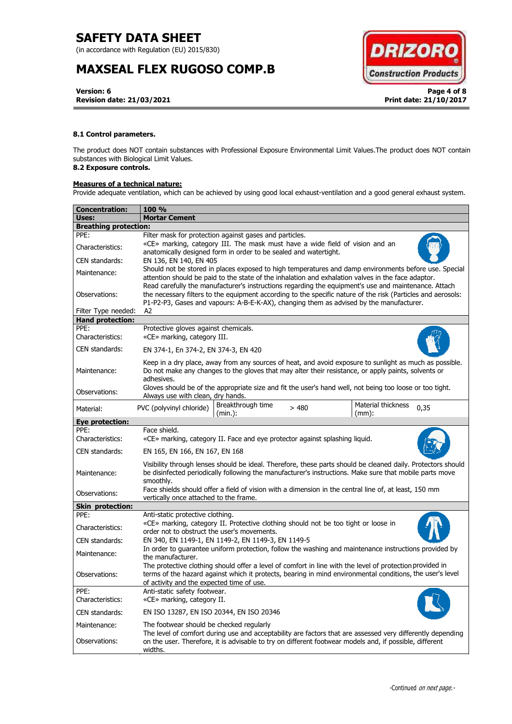(in accordance with Regulation (EU) 2015/830)

# **MAXSEAL FLEX RUGOSO COMP.B**



**Version: 6 Page 4 of 8 Revision date: 21/03/2021 Print date: 21/10/2017**

## **8.1 Control parameters.**

The product does NOT contain substances with Professional Exposure Environmental Limit Values.The product does NOT contain substances with Biological Limit Values.

# **8.2 Exposure controls.**

# **Measures of a technical nature:**

Provide adequate ventilation, which can be achieved by using good local exhaust-ventilation and a good general exhaust system.

| Concentration:               | 100 %                                                                                                                                                                                                                                                                                                           |  |  |
|------------------------------|-----------------------------------------------------------------------------------------------------------------------------------------------------------------------------------------------------------------------------------------------------------------------------------------------------------------|--|--|
| Uses:                        | <b>Mortar Cement</b>                                                                                                                                                                                                                                                                                            |  |  |
| <b>Breathing protection:</b> |                                                                                                                                                                                                                                                                                                                 |  |  |
| PPE:                         | Filter mask for protection against gases and particles.                                                                                                                                                                                                                                                         |  |  |
| Characteristics:             | «CE» marking, category III. The mask must have a wide field of vision and an<br>anatomically designed form in order to be sealed and watertight.                                                                                                                                                                |  |  |
| CEN standards:               | EN 136, EN 140, EN 405                                                                                                                                                                                                                                                                                          |  |  |
| Maintenance:                 | Should not be stored in places exposed to high temperatures and damp environments before use. Special<br>attention should be paid to the state of the inhalation and exhalation valves in the face adaptor.                                                                                                     |  |  |
| Observations:                | Read carefully the manufacturer's instructions regarding the equipment's use and maintenance. Attach<br>the necessary filters to the equipment according to the specific nature of the risk (Particles and aerosols:<br>P1-P2-P3, Gases and vapours: A-B-E-K-AX), changing them as advised by the manufacturer. |  |  |
| Filter Type needed:          | A2                                                                                                                                                                                                                                                                                                              |  |  |
| <b>Hand protection:</b>      |                                                                                                                                                                                                                                                                                                                 |  |  |
| PPE:<br>Characteristics:     | Protective gloves against chemicals.<br>«CE» marking, category III.                                                                                                                                                                                                                                             |  |  |
| CEN standards:               | EN 374-1, En 374-2, EN 374-3, EN 420                                                                                                                                                                                                                                                                            |  |  |
| Maintenance:                 | Keep in a dry place, away from any sources of heat, and avoid exposure to sunlight as much as possible.<br>Do not make any changes to the gloves that may alter their resistance, or apply paints, solvents or<br>adhesives.                                                                                    |  |  |
| Observations:                | Gloves should be of the appropriate size and fit the user's hand well, not being too loose or too tight.<br>Always use with clean, dry hands.                                                                                                                                                                   |  |  |
| Material:                    | Material thickness<br>Breakthrough time<br>PVC (polyvinyl chloride)<br>>480<br>0,35<br>(min.):<br>$(mm)$ :                                                                                                                                                                                                      |  |  |
| <b>Eye protection:</b>       |                                                                                                                                                                                                                                                                                                                 |  |  |
| PPE:<br>Characteristics:     | Face shield.<br>«CE» marking, category II. Face and eye protector against splashing liquid.                                                                                                                                                                                                                     |  |  |
| CEN standards:               | EN 165, EN 166, EN 167, EN 168                                                                                                                                                                                                                                                                                  |  |  |
| Maintenance:                 | Visibility through lenses should be ideal. Therefore, these parts should be cleaned daily. Protectors should<br>be disinfected periodically following the manufacturer's instructions. Make sure that mobile parts move<br>smoothly.                                                                            |  |  |
| Observations:                | Face shields should offer a field of vision with a dimension in the central line of, at least, 150 mm<br>vertically once attached to the frame.                                                                                                                                                                 |  |  |
| <b>Skin protection:</b>      |                                                                                                                                                                                                                                                                                                                 |  |  |
| PPE:                         | Anti-static protective clothing.                                                                                                                                                                                                                                                                                |  |  |
| Characteristics:             | «CE» marking, category II. Protective clothing should not be too tight or loose in<br>order not to obstruct the user's movements.                                                                                                                                                                               |  |  |
| CEN standards:               | EN 340, EN 1149-1, EN 1149-2, EN 1149-3, EN 1149-5                                                                                                                                                                                                                                                              |  |  |
| Maintenance:                 | In order to guarantee uniform protection, follow the washing and maintenance instructions provided by<br>the manufacturer.                                                                                                                                                                                      |  |  |
| Observations:                | The protective clothing should offer a level of comfort in line with the level of protection provided in<br>terms of the hazard against which it protects, bearing in mind environmental conditions, the user's level<br>of activity and the expected time of use.                                              |  |  |
| PPE:<br>Characteristics:     | Anti-static safety footwear.<br>«CE» marking, category II.                                                                                                                                                                                                                                                      |  |  |
| CEN standards:               | EN ISO 13287, EN ISO 20344, EN ISO 20346                                                                                                                                                                                                                                                                        |  |  |
| Maintenance:                 | The footwear should be checked regularly                                                                                                                                                                                                                                                                        |  |  |
| Observations:                | The level of comfort during use and acceptability are factors that are assessed very differently depending<br>on the user. Therefore, it is advisable to try on different footwear models and, if possible, different<br>widths.                                                                                |  |  |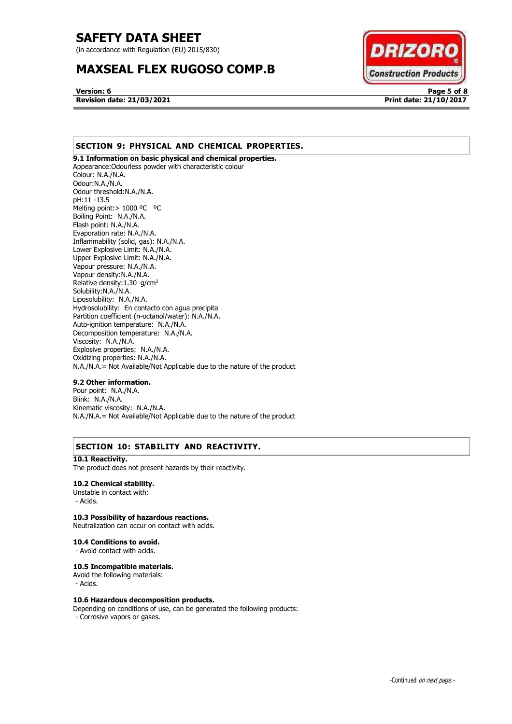(in accordance with Regulation (EU) 2015/830)

# **MAXSEAL FLEX RUGOSO COMP.B**



**Version: 6 Page 5 of 8 Revision date: 21/03/2021 Print date: 21/10/2017**

# **SECTION 9: PHYSICAL AND CHEMICAL PROPERTIES.**

**9.1 Information on basic physical and chemical properties.**  Appearance:Odourless powder with characteristic colour Colour: N.A./N.A. Odour:N.A./N.A. Odour threshold:N.A./N.A. pH:11 -13.5 Melting point: > 1000 °C °C Boiling Point: N.A./N.A. Flash point: N.A./N.A. Evaporation rate: N.A./N.A. Inflammability (solid, gas): N.A./N.A. Lower Explosive Limit: N.A./N.A. Upper Explosive Limit: N.A./N.A. Vapour pressure: N.A./N.A. Vapour density:N.A./N.A. Relative density: 1.30 g/cm<sup>3</sup> Solubility:N.A./N.A. Liposolubility: N.A./N.A. Hydrosolubility: En contacto con agua precipita Partition coefficient (n-octanol/water): N.A./N.A. Auto-ignition temperature: N.A./N.A. Decomposition temperature: N.A./N.A. Viscosity: N.A./N.A. Explosive properties: N.A./N.A. Oxidizing properties: N.A./N.A. N.A./N.A.= Not Available/Not Applicable due to the nature of the product

## **9.2 Other information.**

Pour point: N.A./N.A. Blink: N.A./N.A. Kinematic viscosity: N.A./N.A. N.A./N.A.= Not Available/Not Applicable due to the nature of the product

# **SECTION 10: STABILITY AND REACTIVITY.**

### **10.1 Reactivity.**

The product does not present hazards by their reactivity.

### **10.2 Chemical stability.**

Unstable in contact with: - Acids.

# **10.3 Possibility of hazardous reactions.**

Neutralization can occur on contact with acids.

**10.4 Conditions to avoid.**

- Avoid contact with acids.

### **10.5 Incompatible materials.**

Avoid the following materials:

- Acids.

#### **10.6 Hazardous decomposition products.**

Depending on conditions of use, can be generated the following products: - Corrosive vapors or gases.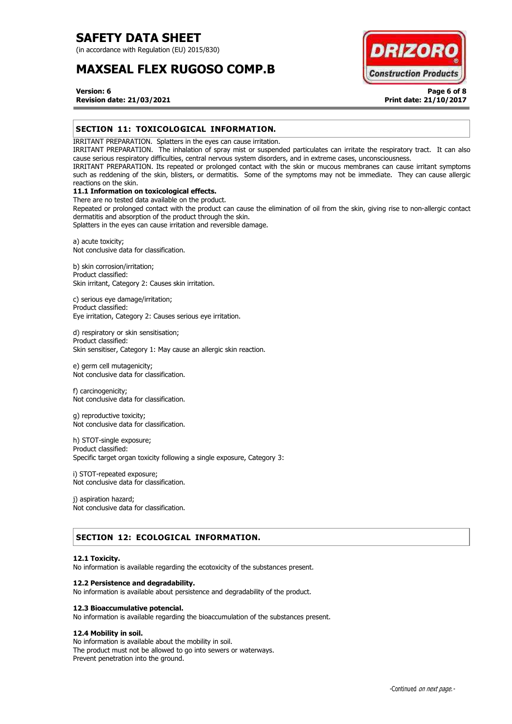(in accordance with Regulation (EU) 2015/830)

# **MAXSEAL FLEX RUGOSO COMP.B**



## **Version: 6 Page 6 of 8 Revision date: 21/03/2021 Print date: 21/10/2017**

# **SECTION 11: TOXICOLOGICAL INFORMATION.**

IRRITANT PREPARATION. Splatters in the eyes can cause irritation.

IRRITANT PREPARATION. The inhalation of spray mist or suspended particulates can irritate the respiratory tract. It can also cause serious respiratory difficulties, central nervous system disorders, and in extreme cases, unconsciousness.

IRRITANT PREPARATION. Its repeated or prolonged contact with the skin or mucous membranes can cause irritant symptoms such as reddening of the skin, blisters, or dermatitis. Some of the symptoms may not be immediate. They can cause allergic reactions on the skin.

# **11.1 Information on toxicological effects.**

There are no tested data available on the product. Repeated or prolonged contact with the product can cause the elimination of oil from the skin, giving rise to non-allergic contact dermatitis and absorption of the product through the skin.

Splatters in the eyes can cause irritation and reversible damage.

a) acute toxicity; Not conclusive data for classification.

b) skin corrosion/irritation; Product classified: Skin irritant, Category 2: Causes skin irritation.

c) serious eye damage/irritation; Product classified: Eye irritation, Category 2: Causes serious eye irritation.

d) respiratory or skin sensitisation; Product classified: Skin sensitiser, Category 1: May cause an allergic skin reaction.

e) germ cell mutagenicity; Not conclusive data for classification.

f) carcinogenicity; Not conclusive data for classification.

g) reproductive toxicity; Not conclusive data for classification.

h) STOT-single exposure; Product classified: Specific target organ toxicity following a single exposure, Category 3:

i) STOT-repeated exposure; Not conclusive data for classification.

j) aspiration hazard; Not conclusive data for classification.

# **SECTION 12: ECOLOGICAL INFORMATION.**

### **12.1 Toxicity.**

No information is available regarding the ecotoxicity of the substances present.

### **12.2 Persistence and degradability.**

No information is available about persistence and degradability of the product.

### **12.3 Bioaccumulative potencial.**

No information is available regarding the bioaccumulation of the substances present.

# **12.4 Mobility in soil.**

No information is available about the mobility in soil. The product must not be allowed to go into sewers or waterways. Prevent penetration into the ground.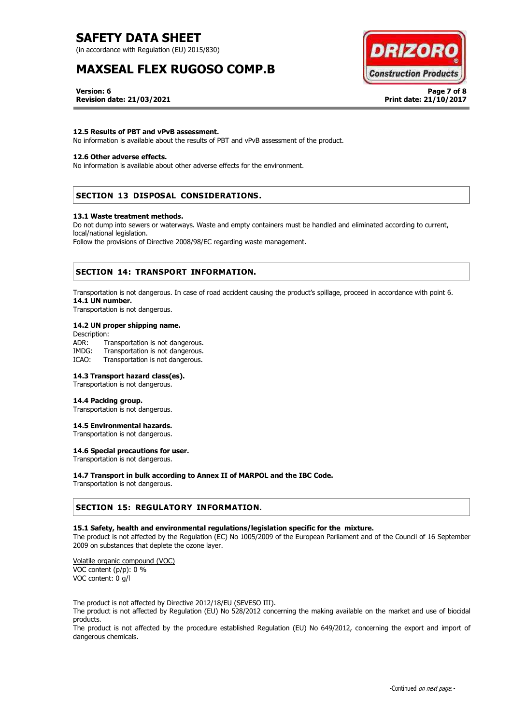(in accordance with Regulation (EU) 2015/830)

# **MAXSEAL FLEX RUGOSO COMP.B**



**Version: 6 Page 7 of 8 Revision date: 21/03/2021 Print date: 21/10/2017**

### **12.5 Results of PBT and vPvB assessment.**

No information is available about the results of PBT and vPvB assessment of the product.

### **12.6 Other adverse effects.**

No information is available about other adverse effects for the environment.

# **SECTION 13 DISPOSAL CONSIDERATIONS.**

#### **13.1 Waste treatment methods.**

Do not dump into sewers or waterways. Waste and empty containers must be handled and eliminated according to current, local/national legislation.

Follow the provisions of Directive 2008/98/EC regarding waste management.

# **SECTION 14: TRANSPORT INFORMATION.**

Transportation is not dangerous. In case of road accident causing the product's spillage, proceed in accordance with point 6. **14.1 UN number.**

Transportation is not dangerous.

### **14.2 UN proper shipping name.**

Description: ADR: Transportation is not dangerous. IMDG: Transportation is not dangerous. ICAO: Transportation is not dangerous.

### **14.3 Transport hazard class(es).**

Transportation is not dangerous.

#### **14.4 Packing group.**

Transportation is not dangerous.

### **14.5 Environmental hazards.**

Transportation is not dangerous.

# **14.6 Special precautions for user.**

Transportation is not dangerous.

### **14.7 Transport in bulk according to Annex II of MARPOL and the IBC Code.**

Transportation is not dangerous.

## **SECTION 15: REGULATORY INFORMATION.**

### **15.1 Safety, health and environmental regulations/legislation specific for the mixture.**

The product is not affected by the Regulation (EC) No 1005/2009 of the European Parliament and of the Council of 16 September 2009 on substances that deplete the ozone layer.

Volatile organic compound (VOC) VOC content (p/p): 0 % VOC content: 0 g/l

The product is not affected by Directive 2012/18/EU (SEVESO III).

The product is not affected by Regulation (EU) No 528/2012 concerning the making available on the market and use of biocidal products.

The product is not affected by the procedure established Regulation (EU) No 649/2012, concerning the export and import of dangerous chemicals.